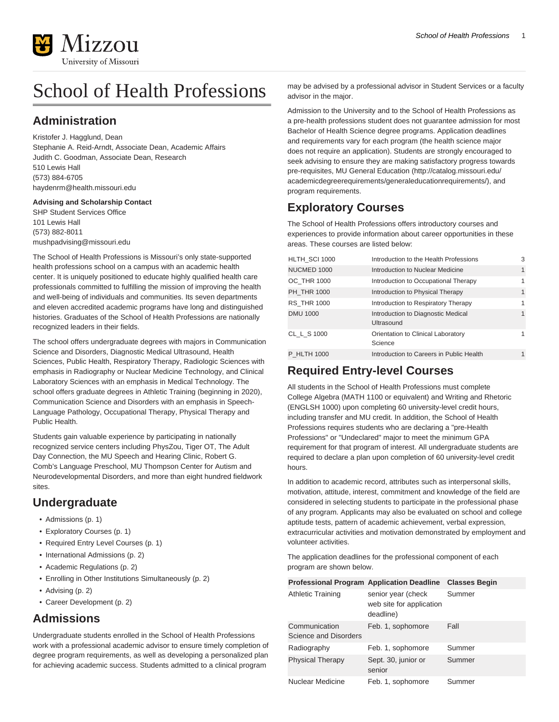

# School of Health Professions

### **Administration**

Kristofer J. Hagglund, Dean Stephanie A. Reid-Arndt, Associate Dean, Academic Affairs Judith C. Goodman, Associate Dean, Research 510 Lewis Hall (573) 884-6705 [haydenrm@health.missouri.edu](mailto:haydenrm@health.missouri.edu)

#### **Advising and Scholarship Contact**

SHP Student Services Office 101 Lewis Hall (573) 882-8011 [mushpadvising@missouri.edu](mailto:mushpadvising@missouri.edu)

The School of Health Professions is Missouri's only state-supported health professions school on a campus with an academic health center. It is uniquely positioned to educate highly qualified health care professionals committed to fulfilling the mission of improving the health and well-being of individuals and communities. Its seven departments and eleven accredited academic programs have long and distinguished histories. Graduates of the School of Health Professions are nationally recognized leaders in their fields.

The school offers undergraduate degrees with majors in Communication Science and Disorders, Diagnostic Medical Ultrasound, Health Sciences, Public Health, Respiratory Therapy, Radiologic Sciences with emphasis in Radiography or Nuclear Medicine Technology, and Clinical Laboratory Sciences with an emphasis in Medical Technology. The school offers graduate degrees in Athletic Training (beginning in 2020), Communication Science and Disorders with an emphasis in Speech-Language Pathology, Occupational Therapy, Physical Therapy and Public Health.

Students gain valuable experience by participating in nationally recognized service centers including PhysZou, Tiger OT, The Adult Day Connection, the MU Speech and Hearing Clinic, Robert G. Comb's Language Preschool, MU Thompson Center for Autism and Neurodevelopmental Disorders, and more than eight hundred fieldwork sites.

### **Undergraduate**

- [Admissions](#page-0-0) ([p. 1](#page-0-0))
- [Exploratory Courses](#page-0-1) [\(p. 1\)](#page-0-1)
- [Required Entry Level Courses](#page-0-2) ([p. 1\)](#page-0-2)
- [International Admissions](#page-1-0) [\(p. 2](#page-1-0))
- [Academic Regulations \(p. 2\)](#page-1-1)
- [Enrolling in Other Institutions Simultaneously](#page-1-2) ([p. 2\)](#page-1-2)
- [Advising](#page-1-3) [\(p. 2](#page-1-3))
- <span id="page-0-0"></span>• [Career Development](#page-1-4) ([p. 2](#page-1-4))

### **Admissions**

Undergraduate students enrolled in the School of Health Professions work with a professional academic advisor to ensure timely completion of degree program requirements, as well as developing a personalized plan for achieving academic success. Students admitted to a clinical program

may be advised by a professional advisor in Student Services or a faculty advisor in the major.

Admission to the University and to the School of Health Professions as a pre-health professions student does not guarantee admission for most Bachelor of Health Science degree programs. Application deadlines and requirements vary for each program (the health science major does not require an application). Students are strongly encouraged to seek advising to ensure they are making satisfactory progress towards pre-requisites, [MU General Education](http://catalog.missouri.edu/academicdegreerequirements/generaleducationrequirements/) ([http://catalog.missouri.edu/](http://catalog.missouri.edu/academicdegreerequirements/generaleducationrequirements/) [academicdegreerequirements/generaleducationrequirements/](http://catalog.missouri.edu/academicdegreerequirements/generaleducationrequirements/)), and program requirements.

### <span id="page-0-1"></span>**Exploratory Courses**

The School of Health Professions offers introductory courses and experiences to provide information about career opportunities in these areas. These courses are listed below:

| HLTH_SCI 1000      | Introduction to the Health Professions           | 3            |
|--------------------|--------------------------------------------------|--------------|
| <b>NUCMED 1000</b> | Introduction to Nuclear Medicine                 | $\mathbf{1}$ |
| OC THR 1000        | Introduction to Occupational Therapy             | 1            |
| PH THR 1000        | Introduction to Physical Therapy                 | $\mathbf{1}$ |
| <b>RS THR 1000</b> | Introduction to Respiratory Therapy              | 1            |
| <b>DMU 1000</b>    | Introduction to Diagnostic Medical<br>Ultrasound | $\mathbf{1}$ |
| CL L S 1000        | Orientation to Clinical Laboratory<br>Science    | 1            |
| P HLTH 1000        | Introduction to Careers in Public Health         | $\mathbf{1}$ |

### <span id="page-0-2"></span>**Required Entry-level Courses**

All students in the School of Health Professions must complete College Algebra (MATH 1100 or equivalent) and Writing and Rhetoric (ENGLSH 1000) upon completing 60 university-level credit hours, including transfer and MU credit. In addition, the School of Health Professions requires students who are declaring a "pre-Health Professions" or "Undeclared" major to meet the minimum GPA requirement for that program of interest. All undergraduate students are required to declare a plan upon completion of 60 university-level credit hours.

In addition to academic record, attributes such as interpersonal skills, motivation, attitude, interest, commitment and knowledge of the field are considered in selecting students to participate in the professional phase of any program. Applicants may also be evaluated on school and college aptitude tests, pattern of academic achievement, verbal expression, extracurricular activities and motivation demonstrated by employment and volunteer activities.

The application deadlines for the professional component of each program are shown below.

| <b>Professional Program Application Deadline</b> |                                                             | <b>Classes Begin</b> |
|--------------------------------------------------|-------------------------------------------------------------|----------------------|
| <b>Athletic Training</b>                         | senior year (check<br>web site for application<br>deadline) | Summer               |
| Communication<br>Science and Disorders           | Feb. 1, sophomore                                           | Fall                 |
| Radiography                                      | Feb. 1, sophomore                                           | Summer               |
| <b>Physical Therapy</b>                          | Sept. 30, junior or<br>senior                               | Summer               |
| Nuclear Medicine                                 | Feb. 1, sophomore                                           | Summer               |